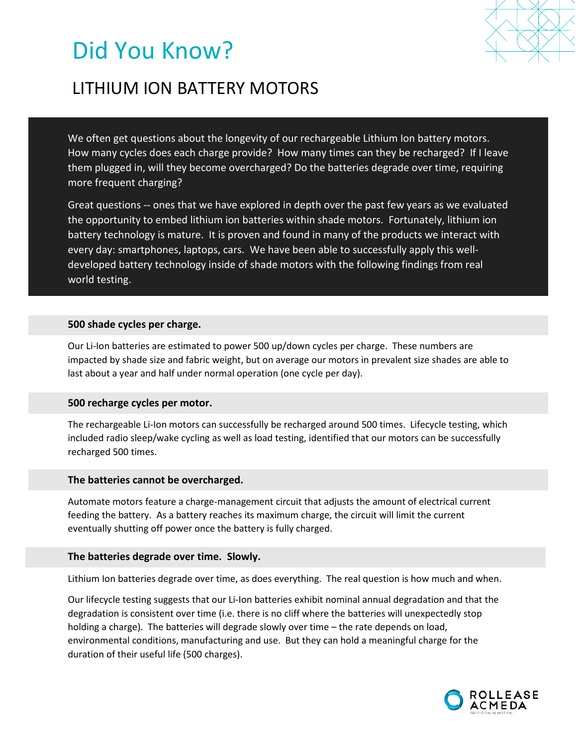# Did You Know?



# LITHIUM ION BATTERY MOTORS

We often get questions about the longevity of our rechargeable Lithium Ion battery motors. How many cycles does each charge provide? How many times can they be recharged? If I leave them plugged in, will they become overcharged? Do the batteries degrade over time, requiring more frequent charging?

Great questions -- ones that we have explored in depth over the past few years as we evaluated the opportunity to embed lithium ion batteries within shade motors. Fortunately, lithium ion battery technology is mature. It is proven and found in many of the products we interact with every day: smartphones, laptops, cars. We have been able to successfully apply this welldeveloped battery technology inside of shade motors with the following findings from real world testing.

### **500 shade cycles per charge.**

Our Li-Ion batteries are estimated to power 500 up/down cycles per charge. These numbers are impacted by shade size and fabric weight, but on average our motors in prevalent size shades are able to last about a year and half under normal operation (one cycle per day).

#### **500 recharge cycles per motor.**

The rechargeable Li-Ion motors can successfully be recharged around 500 times. Lifecycle testing, which included radio sleep/wake cycling as well as load testing, identified that our motors can be successfully recharged 500 times.

#### **The batteries cannot be overcharged.**

Automate motors feature a charge-management circuit that adjusts the amount of electrical current feeding the battery. As a battery reaches its maximum charge, the circuit will limit the current eventually shutting off power once the battery is fully charged.

#### **The batteries degrade over time. Slowly.**

Lithium Ion batteries degrade over time, as does everything. The real question is how much and when.

Our lifecycle testing suggests that our Li-Ion batteries exhibit nominal annual degradation and that the degradation is consistent over time (i.e. there is no cliff where the batteries will unexpectedly stop holding a charge). The batteries will degrade slowly over time – the rate depends on load, environmental conditions, manufacturing and use. But they can hold a meaningful charge for the duration of their useful life (500 charges).